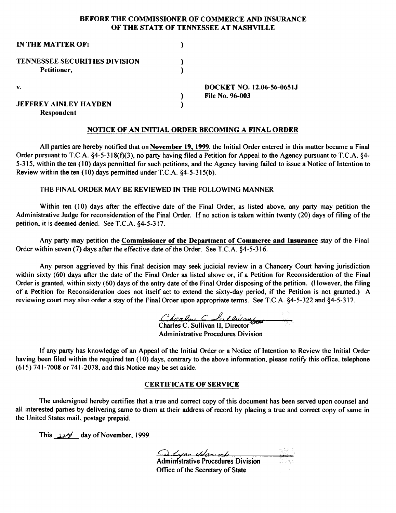### BEFORE THE COMMISSIONER OF COMMERCE AND INSURANCE OF THE STATE OF TENNESSEE AT NASHVILLE

| IN THE MATTER OF:                    |                           |
|--------------------------------------|---------------------------|
| <b>TENNESSEE SECURITIES DIVISION</b> |                           |
| Petitioner.                          |                           |
| v.                                   | DOCKET NO. 12.06-56-0651J |
|                                      | <b>File No. 96-003</b>    |
| <b>JEFFREY AINLEY HAYDEN</b>         |                           |
| Respondent                           |                           |

#### NOTICE OF AN INITIAL ORDER BECOMING A FINAL ORDER

All parties are hereby notified that on November 19, 1999, the Initial Order entered in this matter became a Final Order pursuant to T.C.A. §4-5-318(f)(3), no party having filed a Petition for Appeal to the Agency pursuant to T.C.A. §4-5-315, within the ten  $(10)$  days permitted for such petitions, and the Agency having failed to issue a Notice of Intention to Review within the ten ( 10) days permitted under T.C.A. §4-5-315(b).

#### THE FINAL ORDER MAY BE REVIEWED IN THE FOLLOWING MANNER

Within ten (10) days after the effective date of the Final Order, as listed above, any party may petition the Administrative Judge for reconsideration of the Final Order. If no action is taken within twenty (20) days of filing of the petition, it is deemed denied. See T.C.A. §4-5-317.

Any party may petition the Commissioner of the Department of Commerce and Insurance stay of the Final Order within seven (7) days after the effective date of the Order. See T.C.A. §4-5-316.

Any person aggrieved by this final decision may seek judicial review in a Chancery Court having jurisdiction within sixty (60) days after the date of the Final Order as listed above or, if a Petition for Reconsideration of the Final Order is granted, within sixty (60) days of the entry date of the Final Order disposing of the petition. (However, the filing of a Petition for Reconsideration does not itself act to extend the sixty-day period, if the Petition is not granted.) A reviewing court may also order a stay of the Final Order upon appropriate terms. See T.C.A. §4-5-322 and §4-5-317.

Charlow C Lullwon

Administrative Procedures Division

If any party has knowledge of an Appeal of the Initial Order or a Notice of Intention to Review the Initial Order having been filed within the required ten (10) days, contrary to the above information, please notify this office. telephone (615) 741-7008 or 741-2078, and this Notice may be set aside.

#### CERTIFICATE OF SERVICE

The undersigned hereby certifies that a true and correct copy of this document has been served upon counsel and all interested parties by delivering same to them at their address of record by placing a true and correct copy of same in the United States mail, postage prepaid.

This *J.J-?'* day ofNovember, 1999.

Altype Udgeworth Ministrative Procedures Division

Office of the Secretary of State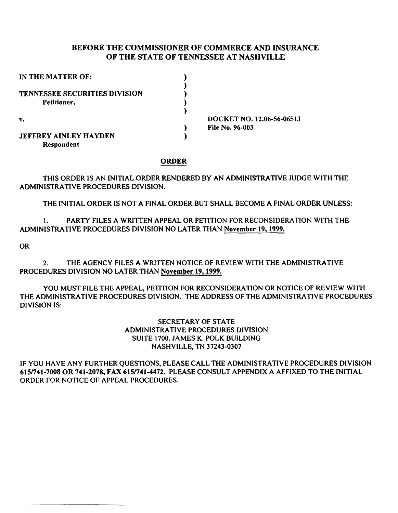# BEFORE THE COMMISSIONER OF COMMERCE AND INSURANCE OF THE STATE OF TENNESSEE AT NASHVILLE

| IN THE MATTER OF:                    |                           |
|--------------------------------------|---------------------------|
|                                      |                           |
| <b>TENNESSEE SECURITIES DIVISION</b> |                           |
| Petitioner,                          |                           |
|                                      |                           |
| v.                                   | DOCKET NO. 12.06-56-0651J |
|                                      | <b>File No. 96-003</b>    |
| <b>JEFFREY AINLEY HAYDEN</b>         |                           |
| Respondent                           |                           |

### ORDER

## THIS ORDER IS AN INITIAL ORDER RENDERED BY AN ADMINISTRATIVE JUDGE WITH THE ADMINISTRATIVE PROCEDURES DIVISION.

THE INITIAL ORDER IS NOT A FINAL ORDER BUT SHALL BECOME A FINAL ORDER UNLESS:

1. PARTY FILES A WRITTEN APPEAL OR PETITION FOR RECONSIDERATION WITH THE ADMINISTRATIVE PROCEDURES DIVISION NO LATER THAN November 19, 1999.

OR

2. THE AGENCY FILES A WRITTEN NOTICE OF REVIEW WITH THE ADMINISTRATIVE PROCEDURES DIVISION NO LATER THAN November 19, 1999.

YOU MUST FILE THE APPEAL, PETITION FOR RECONSIDERATION OR NOTICE OF REVIEW WITH THE ADMINISTRATIVE PROCEDURES DIVISION. THE ADDRESS OF THE ADMINISTRATIVE PROCEDURES DIVISION IS:

> SECRETARY OF STATE ADMINISTRATIVE PROCEDURES DIVISION SUITE 1700, JAMES K. POLK BUILDING NASHVILLE, TN 37243-0307

IF YOU HAVE ANY FURTHER QUESTIONS, PLEASE CALL THE ADMINISTRATIVE PROCEDURES DIVISION, 615n4t-7008 OR 741-2078, FAX 615n41-4472. PLEASE CONSULT APPENDIX A AFFIXED TO THE INITIAL ORDER FOR NOTICE OF APPEAL PROCEDURES.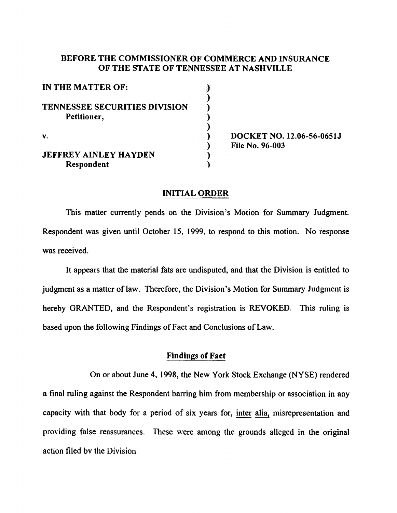# BEFORE THE COMMISSIONER OF COMMERCE AND INSURANCE OF THE STATE OF TENNESSEE AT NASHVILLE

| IN THE MATTER OF:                    |  |
|--------------------------------------|--|
|                                      |  |
| <b>TENNESSEE SECURITIES DIVISION</b> |  |
| Petitioner,                          |  |
|                                      |  |
| V.                                   |  |
|                                      |  |
| <b>JEFFREY AINLEY HAYDEN</b>         |  |
| Respondent                           |  |

DOCKET NO. 12.06-56-0651J File No. 96-003

# INITIAL ORDER

This matter currently pends on the Division's Motion for Summary Judgment. Respondent was given until October 15, 1999, to respond to this motion. No response was received.

It appears that the material fats are undisputed, and that the Division is entitled to judgment as a matter of law. Therefore, the Division's Motion for Summary Judgment is hereby GRANTED, and the Respondent's registration is REVOKED. This ruling is based upon the following Findings of Fact and Conclusions of Law.

# Findings of Fact

On or about June 4, 1998, the New York Stock Exchange (NYSE) rendered a final ruling against the Respondent barring him from membership or association in any capacity with that body for a period of six years for, inter alia, misrepresentation and providing false reassurances. These were among the grounds alleged in the original action filed bv the Division.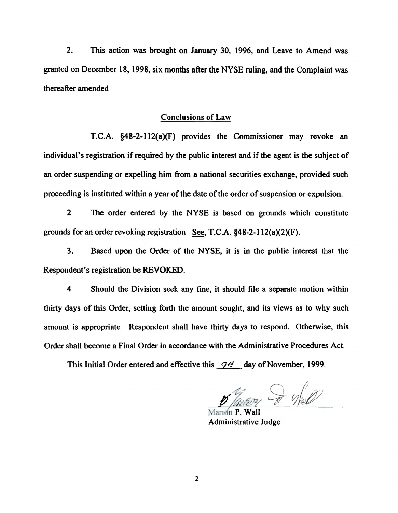2. This action was brought on January 30, 1996, and Leave to Amend was granted on December 18, 1998, six months after the NYSE ruling, and the Complaint was thereafter amended

## Conclusions of Law

T.C.A. §48-2-112(a)(F) provides the Commissioner may revoke an individual's registration if required by the public interest and if the agent is the subject of an order suspending or expelling him from a national securities exchange, provided such proceeding is instituted within a year of the date of the order of suspension or expulsion.

2 The order entered by the NYSE is based on grounds which constitute grounds for an order revoking registration See, T.C.A.  $§48-2-112(a)(2)(F)$ .

3. Based upon the Order of the NYSE, it is in the public interest that the Respondent's registration be REVOKED.

4 Should the Division seek any fine, it should file a separate motion within thirty days of this Order, setting forth the amount sought, and its views as to why such amount is appropriate Respondent shall have thirty days to respond. Otherwise, this Order shall become a Final Order in accordance with the Administrative Procedures Act.

This Initial Order entered and effective this  $\mathcal{P}$ ! day of November, 1999.

Thursey I Well

arıon P. Wall Administrative Judge